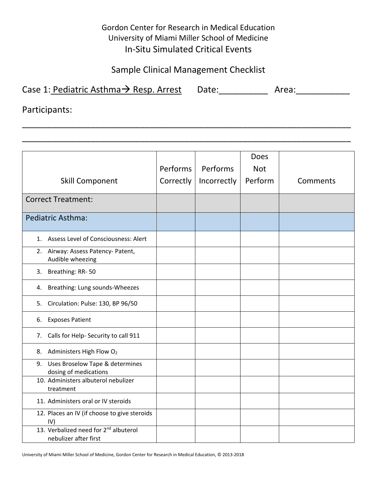## Gordon Center for Research in Medical Education University of Miami Miller School of Medicine In‐Situ Simulated Critical Events

## Sample Clinical Management Checklist

 $\overline{a}$  , and the contribution of the contribution of the contribution of the contribution of the contribution of the contribution of the contribution of the contribution of the contribution of the contribution of the co

\_\_\_\_\_\_\_\_\_\_\_\_\_\_\_\_\_\_\_\_\_\_\_\_\_\_\_\_\_\_\_\_\_\_\_\_\_\_\_\_\_\_\_\_\_\_\_\_\_\_\_\_\_\_\_\_\_\_\_\_\_\_\_\_\_\_\_

| Case 1: Pediatric Asthma $\rightarrow$ Resp. Arrest | Date: | Area: |
|-----------------------------------------------------|-------|-------|
|-----------------------------------------------------|-------|-------|

Participants:

|                                                                            |           |             | <b>Does</b> |          |
|----------------------------------------------------------------------------|-----------|-------------|-------------|----------|
|                                                                            | Performs  | Performs    | <b>Not</b>  |          |
| <b>Skill Component</b>                                                     | Correctly | Incorrectly | Perform     | Comments |
| <b>Correct Treatment:</b>                                                  |           |             |             |          |
| <b>Pediatric Asthma:</b>                                                   |           |             |             |          |
| 1. Assess Level of Consciousness: Alert                                    |           |             |             |          |
| 2. Airway: Assess Patency- Patent,<br>Audible wheezing                     |           |             |             |          |
| Breathing: RR-50<br>3.                                                     |           |             |             |          |
| Breathing: Lung sounds-Wheezes<br>4.                                       |           |             |             |          |
| Circulation: Pulse: 130, BP 96/50<br>5.                                    |           |             |             |          |
| <b>Exposes Patient</b><br>6.                                               |           |             |             |          |
| Calls for Help- Security to call 911<br>7.                                 |           |             |             |          |
| Administers High Flow O <sub>2</sub><br>8.                                 |           |             |             |          |
| Uses Broselow Tape & determines<br>9.<br>dosing of medications             |           |             |             |          |
| 10. Administers albuterol nebulizer<br>treatment                           |           |             |             |          |
| 11. Administers oral or IV steroids                                        |           |             |             |          |
| 12. Places an IV (if choose to give steroids<br>IV)                        |           |             |             |          |
| 13. Verbalized need for 2 <sup>nd</sup> albuterol<br>nebulizer after first |           |             |             |          |